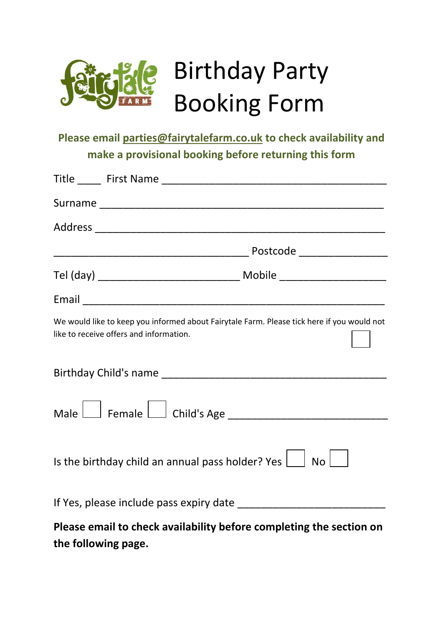

## **Please email parties@fairytalefarm.co.uk to check availability and make a provisional booking before returning this form**

| Email                                                                                                                                 |  |
|---------------------------------------------------------------------------------------------------------------------------------------|--|
| We would like to keep you informed about Fairytale Farm. Please tick here if you would not<br>like to receive offers and information. |  |
|                                                                                                                                       |  |
|                                                                                                                                       |  |
| Is the birthday child an annual pass holder? Yes $\boxed{\phantom{a}}$ No $\boxed{\phantom{a}}$                                       |  |
|                                                                                                                                       |  |
| Please email to check availability before completing the section on<br>the following page.                                            |  |